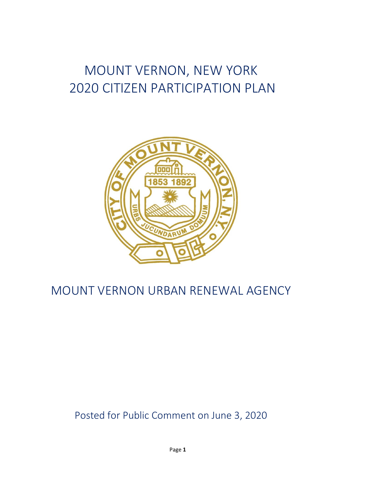# MOUNT VERNON, NEW YORK 2020 CITIZEN PARTICIPATION PLAN



# MOUNT VERNON URBAN RENEWAL AGENCY

# Posted for Public Comment on June 3, 2020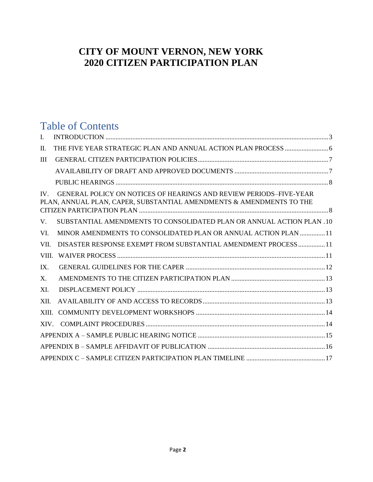## **CITY OF MOUNT VERNON, NEW YORK 2020 CITIZEN PARTICIPATION PLAN**

# Table of Contents

| I.    |                                                                                                                                            |
|-------|--------------------------------------------------------------------------------------------------------------------------------------------|
| П.    |                                                                                                                                            |
| Ш     |                                                                                                                                            |
|       |                                                                                                                                            |
|       |                                                                                                                                            |
| IV —  | GENERAL POLICY ON NOTICES OF HEARINGS AND REVIEW PERIODS-FIVE-YEAR<br>PLAN, ANNUAL PLAN, CAPER, SUBSTANTIAL AMENDMENTS & AMENDMENTS TO THE |
| V.    | SUBSTANTIAL AMENDMENTS TO CONSOLIDATED PLAN OR ANNUAL ACTION PLAN .10                                                                      |
| VI.   | MINOR AMENDMENTS TO CONSOLIDATED PLAN OR ANNUAL ACTION PLAN  11                                                                            |
| VII.  | DISASTER RESPONSE EXEMPT FROM SUBSTANTIAL AMENDMENT PROCESS 11                                                                             |
| VIII. |                                                                                                                                            |
| IX.   |                                                                                                                                            |
| X.    |                                                                                                                                            |
| XI.   |                                                                                                                                            |
| XII.  |                                                                                                                                            |
| XIII. |                                                                                                                                            |
| XIV.  |                                                                                                                                            |
|       |                                                                                                                                            |
|       |                                                                                                                                            |
|       |                                                                                                                                            |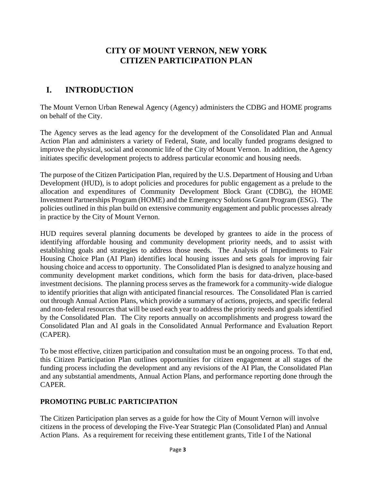#### **CITY OF MOUNT VERNON, NEW YORK CITIZEN PARTICIPATION PLAN**

## <span id="page-2-0"></span>**I. INTRODUCTION**

The Mount Vernon Urban Renewal Agency (Agency) administers the CDBG and HOME programs on behalf of the City.

The Agency serves as the lead agency for the development of the Consolidated Plan and Annual Action Plan and administers a variety of Federal, State, and locally funded programs designed to improve the physical, social and economic life of the City of Mount Vernon. In addition, the Agency initiates specific development projects to address particular economic and housing needs.

The purpose of the Citizen Participation Plan, required by the U.S. Department of Housing and Urban Development (HUD), is to adopt policies and procedures for public engagement as a prelude to the allocation and expenditures of Community Development Block Grant (CDBG), the HOME Investment Partnerships Program (HOME) and the Emergency Solutions Grant Program (ESG). The policies outlined in this plan build on extensive community engagement and public processes already in practice by the City of Mount Vernon.

HUD requires several planning documents be developed by grantees to aide in the process of identifying affordable housing and community development priority needs, and to assist with establishing goals and strategies to address those needs. The Analysis of Impediments to Fair Housing Choice Plan (AI Plan) identifies local housing issues and sets goals for improving fair housing choice and access to opportunity. The Consolidated Plan is designed to analyze housing and community development market conditions, which form the basis for data-driven, place-based investment decisions. The planning process serves as the framework for a community-wide dialogue to identify priorities that align with anticipated financial resources. The Consolidated Plan is carried out through Annual Action Plans, which provide a summary of actions, projects, and specific federal and non-federal resources that will be used each year to address the priority needs and goals identified by the Consolidated Plan. The City reports annually on accomplishments and progress toward the Consolidated Plan and AI goals in the Consolidated Annual Performance and Evaluation Report (CAPER).

To be most effective, citizen participation and consultation must be an ongoing process. To that end, this Citizen Participation Plan outlines opportunities for citizen engagement at all stages of the funding process including the development and any revisions of the AI Plan, the Consolidated Plan and any substantial amendments, Annual Action Plans, and performance reporting done through the CAPER.

#### **PROMOTING PUBLIC PARTICIPATION**

The Citizen Participation plan serves as a guide for how the City of Mount Vernon will involve citizens in the process of developing the Five-Year Strategic Plan (Consolidated Plan) and Annual Action Plans. As a requirement for receiving these entitlement grants, Title I of the National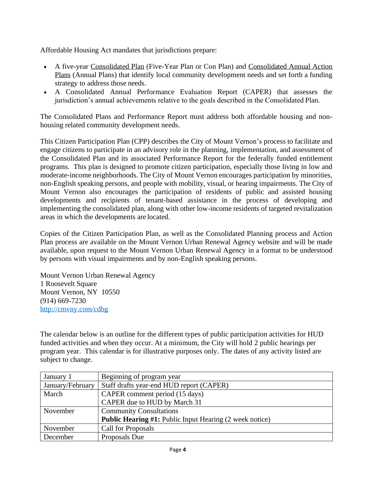Affordable Housing Act mandates that jurisdictions prepare:

- A five-year Consolidated Plan (Five-Year Plan or Con Plan) and Consolidated Annual Action Plans (Annual Plans) that identify local community development needs and set forth a funding strategy to address those needs.
- A Consolidated Annual Performance Evaluation Report (CAPER) that assesses the jurisdiction's annual achievements relative to the goals described in the Consolidated Plan.

The Consolidated Plans and Performance Report must address both affordable housing and nonhousing related community development needs.

This Citizen Participation Plan (CPP) describes the City of Mount Vernon's process to facilitate and engage citizens to participate in an advisory role in the planning, implementation, and assessment of the Consolidated Plan and its associated Performance Report for the federally funded entitlement programs. This plan is designed to promote citizen participation, especially those living in low and moderate-income neighborhoods. The City of Mount Vernon encourages participation by minorities, non-English speaking persons, and people with mobility, visual, or hearing impairments. The City of Mount Vernon also encourages the participation of residents of public and assisted housing developments and recipients of tenant-based assistance in the process of developing and implementing the consolidated plan, along with other low-income residents of targeted revitalization areas in which the developments are located.

Copies of the Citizen Participation Plan, as well as the Consolidated Planning process and Action Plan process are available on the Mount Vernon Urban Renewal Agency website and will be made available, upon request to the Mount Vernon Urban Renewal Agency in a format to be understood by persons with visual impairments and by non-English speaking persons.

Mount Vernon Urban Renewal Agency 1 Roosevelt Square Mount Vernon, NY 10550 (914) 669-7230 <http://cmvny.com/cdbg>

The calendar below is an outline for the different types of public participation activities for HUD funded activities and when they occur. At a minimum, the City will hold 2 public hearings per program year. This calendar is for illustrative purposes only. The dates of any activity listed are subject to change.

| January 1        | Beginning of program year                                      |
|------------------|----------------------------------------------------------------|
| January/February | Staff drafts year-end HUD report (CAPER)                       |
| March            | CAPER comment period (15 days)                                 |
|                  | CAPER due to HUD by March 31                                   |
| November         | <b>Community Consultations</b>                                 |
|                  | <b>Public Hearing #1: Public Input Hearing (2 week notice)</b> |
| November         | <b>Call for Proposals</b>                                      |
| December         | Proposals Due                                                  |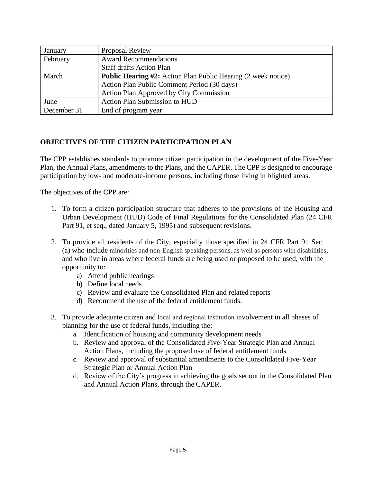| January     | <b>Proposal Review</b>                                               |
|-------------|----------------------------------------------------------------------|
| February    | <b>Award Recommendations</b>                                         |
|             | <b>Staff drafts Action Plan</b>                                      |
| March       | <b>Public Hearing #2:</b> Action Plan Public Hearing (2 week notice) |
|             | Action Plan Public Comment Period (30 days)                          |
|             | <b>Action Plan Approved by City Commission</b>                       |
| June        | <b>Action Plan Submission to HUD</b>                                 |
| December 31 | End of program year                                                  |

#### **OBJECTIVES OF THE CITIZEN PARTICIPATION PLAN**

The CPP establishes standards to promote citizen participation in the development of the Five-Year Plan, the Annual Plans, amendments to the Plans, and the CAPER. The CPP is designed to encourage participation by low- and moderate-income persons, including those living in blighted areas.

The objectives of the CPP are:

- 1. To form a citizen participation structure that adheres to the provisions of the Housing and Urban Development (HUD) Code of Final Regulations for the Consolidated Plan (24 CFR Part 91, et seq., dated January 5, 1995) and subsequent revisions.
- 2. To provide all residents of the City, especially those specified in 24 CFR Part 91 Sec. (a) who include minorities and non-English speaking persons, as well as persons with disabilities, and who live in areas where federal funds are being used or proposed to be used, with the opportunity to:
	- a) Attend public hearings
	- b) Define local needs
	- c) Review and evaluate the Consolidated Plan and related reports
	- d) Recommend the use of the federal entitlement funds.
- 3. To provide adequate citizen and local and regional institution involvement in all phases of planning for the use of federal funds, including the:
	- a. Identification of housing and community development needs
	- b. Review and approval of the Consolidated Five-Year Strategic Plan and Annual Action Plans, including the proposed use of federal entitlement funds
	- c. Review and approval of substantial amendments to the Consolidated Five-Year Strategic Plan or Annual Action Plan
	- d. Review of the City's progress in achieving the goals set out in the Consolidated Plan and Annual Action Plans, through the CAPER.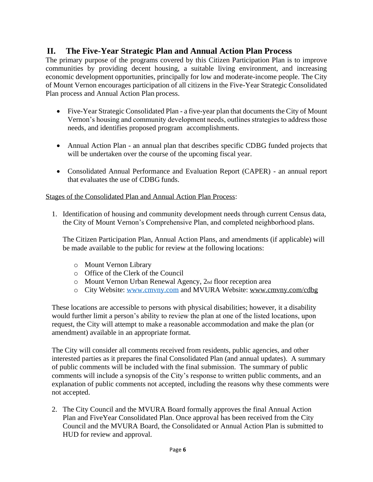#### <span id="page-5-0"></span>**II. The Five-Year Strategic Plan and Annual Action Plan Process**

The primary purpose of the programs covered by this Citizen Participation Plan is to improve communities by providing decent housing, a suitable living environment, and increasing economic development opportunities, principally for low and moderate-income people. The City of Mount Vernon encourages participation of all citizens in the Five-Year Strategic Consolidated Plan process and Annual Action Plan process.

- Five-Year Strategic Consolidated Plan a five-year plan that documents the City of Mount Vernon's housing and community development needs, outlines strategies to address those needs, and identifies proposed program accomplishments.
- Annual Action Plan an annual plan that describes specific CDBG funded projects that will be undertaken over the course of the upcoming fiscal year.
- Consolidated Annual Performance and Evaluation Report (CAPER) an annual report that evaluates the use of CDBG funds.

#### Stages of the Consolidated Plan and Annual Action Plan Process:

1. Identification of housing and community development needs through current Census data, the City of Mount Vernon's Comprehensive Plan, and completed neighborhood plans.

The Citizen Participation Plan, Annual Action Plans, and amendments (if applicable) will be made available to the public for review at the following locations:

- o Mount Vernon Library
- o Office of the Clerk of the Council
- o Mount Vernon Urban Renewal Agency, 2nd floor reception area
- o City Website: [www.cmvny.com](http://www.cmvny.com/) and MVURA Website: [www.cmvny.com/cdbg](http://www.cmvny.com/cdbg)

These locations are accessible to persons with physical disabilities; however, it a disability would further limit a person's ability to review the plan at one of the listed locations, upon request, the City will attempt to make a reasonable accommodation and make the plan (or amendment) available in an appropriate format.

The City will consider all comments received from residents, public agencies, and other interested parties as it prepares the final Consolidated Plan (and annual updates). A summary of public comments will be included with the final submission. The summary of public comments will include a synopsis of the City's response to written public comments, and an explanation of public comments not accepted, including the reasons why these comments were not accepted.

2. The City Council and the MVURA Board formally approves the final Annual Action Plan and FiveYear Consolidated Plan. Once approval has been received from the City Council and the MVURA Board, the Consolidated or Annual Action Plan is submitted to HUD for review and approval.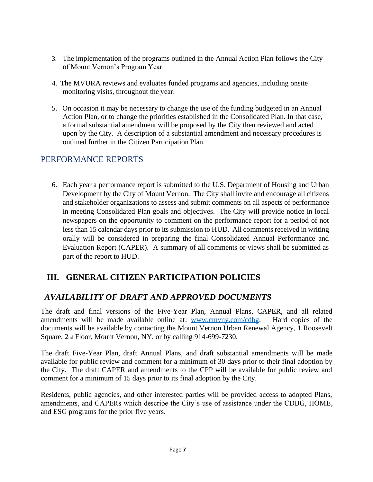- 3. The implementation of the programs outlined in the Annual Action Plan follows the City of Mount Vernon's Program Year.
- 4. The MVURA reviews and evaluates funded programs and agencies, including onsite monitoring visits, throughout the year.
- 5. On occasion it may be necessary to change the use of the funding budgeted in an Annual Action Plan, or to change the priorities established in the Consolidated Plan. In that case, a formal substantial amendment will be proposed by the City then reviewed and acted upon by the City. A description of a substantial amendment and necessary procedures is outlined further in the Citizen Participation Plan.

#### PERFORMANCE REPORTS

6. Each year a performance report is submitted to the U.S. Department of Housing and Urban Development by the City of Mount Vernon. The City shall invite and encourage all citizens and stakeholder organizations to assess and submit comments on all aspects of performance in meeting Consolidated Plan goals and objectives. The City will provide notice in local newspapers on the opportunity to comment on the performance report for a period of not less than 15 calendar days prior to its submission to HUD. All comments received in writing orally will be considered in preparing the final Consolidated Annual Performance and Evaluation Report (CAPER). A summary of all comments or views shall be submitted as part of the report to HUD.

#### <span id="page-6-0"></span>**III. GENERAL CITIZEN PARTICIPATION POLICIES**

#### <span id="page-6-1"></span>*AVAILABILITY OF DRAFT AND APPROVED DOCUMENTS*

The draft and final versions of the Five-Year Plan, Annual Plans, CAPER, and all related amendments will be made available online at: [www.cmvny.com/cdbg.](http://www.cmvny.com/cdbg) Hard copies of the documents will be available by contacting the Mount Vernon Urban Renewal Agency, 1 Roosevelt Square, 2nd Floor, Mount Vernon, NY, or by calling 914-699-7230.

The draft Five-Year Plan, draft Annual Plans, and draft substantial amendments will be made available for public review and comment for a minimum of 30 days prior to their final adoption by the City. The draft CAPER and amendments to the CPP will be available for public review and comment for a minimum of 15 days prior to its final adoption by the City.

<span id="page-6-2"></span>Residents, public agencies, and other interested parties will be provided access to adopted Plans, amendments, and CAPERs which describe the City's use of assistance under the CDBG, HOME, and ESG programs for the prior five years.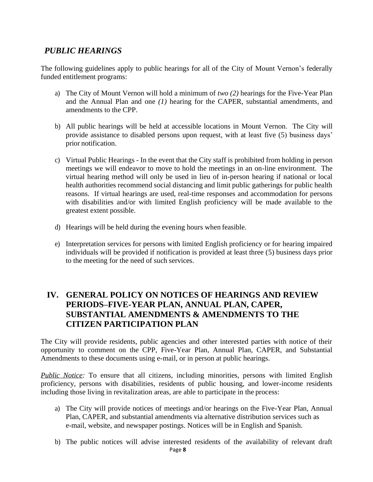#### *PUBLIC HEARINGS*

The following guidelines apply to public hearings for all of the City of Mount Vernon's federally funded entitlement programs:

- a) The City of Mount Vernon will hold a minimum of *two (2)* hearings for the Five-Year Plan and the Annual Plan and one *(1)* hearing for the CAPER, substantial amendments, and amendments to the CPP.
- b) All public hearings will be held at accessible locations in Mount Vernon. The City will provide assistance to disabled persons upon request, with at least five (5) business days' prior notification.
- c) Virtual Public Hearings In the event that the City staff is prohibited from holding in person meetings we will endeavor to move to hold the meetings in an on-line environment. The virtual hearing method will only be used in lieu of in-person hearing if national or local health authorities recommend social distancing and limit public gatherings for public health reasons. If virtual hearings are used, real-time responses and accommodation for persons with disabilities and/or with limited English proficiency will be made available to the greatest extent possible.
- d) Hearings will be held during the evening hours when feasible.
- e) Interpretation services for persons with limited English proficiency or for hearing impaired individuals will be provided if notification is provided at least three (5) business days prior to the meeting for the need of such services.

#### <span id="page-7-0"></span>**IV. GENERAL POLICY ON NOTICES OF HEARINGS AND REVIEW PERIODS–FIVE-YEAR PLAN, ANNUAL PLAN, CAPER, SUBSTANTIAL AMENDMENTS & AMENDMENTS TO THE CITIZEN PARTICIPATION PLAN**

The City will provide residents, public agencies and other interested parties with notice of their opportunity to comment on the CPP, Five-Year Plan, Annual Plan, CAPER, and Substantial Amendments to these documents using e-mail, or in person at public hearings.

*Public Notice:* To ensure that all citizens, including minorities, persons with limited English proficiency, persons with disabilities, residents of public housing, and lower-income residents including those living in revitalization areas, are able to participate in the process:

- a) The City will provide notices of meetings and/or hearings on the Five-Year Plan, Annual Plan, CAPER, and substantial amendments via alternative distribution services such as e-mail, website, and newspaper postings. Notices will be in English and Spanish.
- Page **8** b) The public notices will advise interested residents of the availability of relevant draft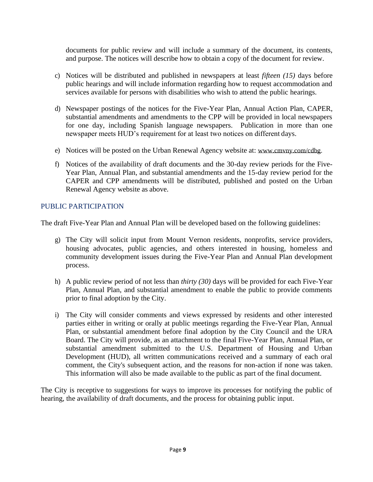documents for public review and will include a summary of the document, its contents, and purpose. The notices will describe how to obtain a copy of the document for review.

- c) Notices will be distributed and published in newspapers at least *fifteen (15)* days before public hearings and will include information regarding how to request accommodation and services available for persons with disabilities who wish to attend the public hearings.
- d) Newspaper postings of the notices for the Five-Year Plan, Annual Action Plan, CAPER, substantial amendments and amendments to the CPP will be provided in local newspapers for one day, including Spanish language newspapers. Publication in more than one newspaper meets HUD's requirement for at least two notices on different days.
- e) Notices will be posted on the Urban Renewal Agency website at: [www.cmvny.com/cdbg.](http://www.cmvny.com/cdbg)
- f) Notices of the availability of draft documents and the 30-day review periods for the Five-Year Plan, Annual Plan, and substantial amendments and the 15-day review period for the CAPER and CPP amendments will be distributed, published and posted on the Urban Renewal Agency website as above.

#### PUBLIC PARTICIPATION

The draft Five-Year Plan and Annual Plan will be developed based on the following guidelines:

- g) The City will solicit input from Mount Vernon residents, nonprofits, service providers, housing advocates, public agencies, and others interested in housing, homeless and community development issues during the Five-Year Plan and Annual Plan development process.
- h) A public review period of not less than *thirty (30)* days will be provided for each Five-Year Plan, Annual Plan, and substantial amendment to enable the public to provide comments prior to final adoption by the City.
- i) The City will consider comments and views expressed by residents and other interested parties either in writing or orally at public meetings regarding the Five-Year Plan, Annual Plan, or substantial amendment before final adoption by the City Council and the URA Board. The City will provide, as an attachment to the final Five-Year Plan, Annual Plan, or substantial amendment submitted to the U.S. Department of Housing and Urban Development (HUD), all written communications received and a summary of each oral comment, the City's subsequent action, and the reasons for non-action if none was taken. This information will also be made available to the public as part of the final document.

The City is receptive to suggestions for ways to improve its processes for notifying the public of hearing, the availability of draft documents, and the process for obtaining public input.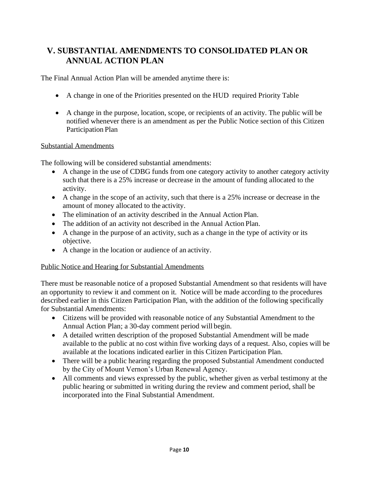## <span id="page-9-0"></span>**V. SUBSTANTIAL AMENDMENTS TO CONSOLIDATED PLAN OR ANNUAL ACTION PLAN**

The Final Annual Action Plan will be amended anytime there is:

- A change in one of the Priorities presented on the HUD required Priority Table
- A change in the purpose, location, scope, or recipients of an activity. The public will be notified whenever there is an amendment as per the Public Notice section of this Citizen Participation Plan

#### Substantial Amendments

The following will be considered substantial amendments:

- A change in the use of CDBG funds from one category activity to another category activity such that there is a 25% increase or decrease in the amount of funding allocated to the activity.
- A change in the scope of an activity, such that there is a 25% increase or decrease in the amount of money allocated to the activity.
- The elimination of an activity described in the Annual Action Plan.
- The addition of an activity not described in the Annual Action Plan.
- A change in the purpose of an activity, such as a change in the type of activity or its objective.
- A change in the location or audience of an activity.

#### Public Notice and Hearing for Substantial Amendments

There must be reasonable notice of a proposed Substantial Amendment so that residents will have an opportunity to review it and comment on it. Notice will be made according to the procedures described earlier in this Citizen Participation Plan, with the addition of the following specifically for Substantial Amendments:

- Citizens will be provided with reasonable notice of any Substantial Amendment to the Annual Action Plan; a 30-day comment period will begin.
- A detailed written description of the proposed Substantial Amendment will be made available to the public at no cost within five working days of a request. Also, copies will be available at the locations indicated earlier in this Citizen Participation Plan.
- There will be a public hearing regarding the proposed Substantial Amendment conducted by the City of Mount Vernon's Urban Renewal Agency.
- All comments and views expressed by the public, whether given as verbal testimony at the public hearing or submitted in writing during the review and comment period, shall be incorporated into the Final Substantial Amendment.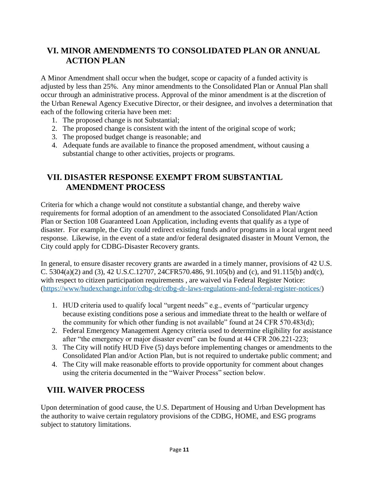## <span id="page-10-0"></span>**VI. MINOR AMENDMENTS TO CONSOLIDATED PLAN OR ANNUAL ACTION PLAN**

A Minor Amendment shall occur when the budget, scope or capacity of a funded activity is adjusted by less than 25%. Any minor amendments to the Consolidated Plan or Annual Plan shall occur through an administrative process. Approval of the minor amendment is at the discretion of the Urban Renewal Agency Executive Director, or their designee, and involves a determination that each of the following criteria have been met:

- 1. The proposed change is not Substantial;
- 2. The proposed change is consistent with the intent of the original scope of work;
- 3. The proposed budget change is reasonable; and
- 4. Adequate funds are available to finance the proposed amendment, without causing a substantial change to other activities, projects or programs.

## <span id="page-10-1"></span>**VII. DISASTER RESPONSE EXEMPT FROM SUBSTANTIAL AMENDMENT PROCESS**

Criteria for which a change would not constitute a substantial change, and thereby waive requirements for formal adoption of an amendment to the associated Consolidated Plan/Action Plan or Section 108 Guaranteed Loan Application, including events that qualify as a type of disaster. For example, the City could redirect existing funds and/or programs in a local urgent need response. Likewise, in the event of a state and/or federal designated disaster in Mount Vernon, the City could apply for CDBG-Disaster Recovery grants.

In general, to ensure disaster recovery grants are awarded in a timely manner, provisions of 42 U.S. C. 5304(a)(2) and (3), 42 U.S.C.12707, 24CFR570.486, 91.105(b) and (c), and 91.115(b) and(c), with respect to citizen participation requirements , are waived via Federal Register Notice: [\(https://www/hudexchange.infor/cdbg-dr/cdbg-dr-laws-regulations-and-federal-register-notices/\)](https://www/hudexchange.infor/cdbg-dr/cdbg-dr-laws-regulations-and-federal-register-notices/)

- 1. HUD criteria used to qualify local "urgent needs" e.g., events of "particular urgency because existing conditions pose a serious and immediate threat to the health or welfare of the community for which other funding is not available" found at 24 CFR 570.483(d);
- 2. Federal Emergency Management Agency criteria used to determine eligibility for assistance after "the emergency or major disaster event" can be found at 44 CFR 206.221-223;
- 3. The City will notify HUD Five (5) days before implementing changes or amendments to the Consolidated Plan and/or Action Plan, but is not required to undertake public comment; and
- 4. The City will make reasonable efforts to provide opportunity for comment about changes using the criteria documented in the "Waiver Process" section below.

## <span id="page-10-2"></span>**VIII. WAIVER PROCESS**

Upon determination of good cause, the U.S. Department of Housing and Urban Development has the authority to waive certain regulatory provisions of the CDBG, HOME, and ESG programs subject to statutory limitations.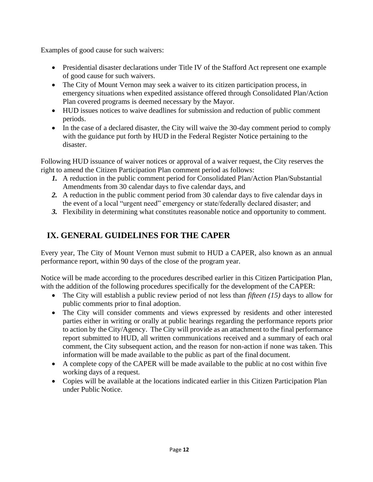Examples of good cause for such waivers:

- Presidential disaster declarations under Title IV of the Stafford Act represent one example of good cause for such waivers.
- The City of Mount Vernon may seek a waiver to its citizen participation process, in emergency situations when expedited assistance offered through Consolidated Plan/Action Plan covered programs is deemed necessary by the Mayor.
- HUD issues notices to waive deadlines for submission and reduction of public comment periods.
- In the case of a declared disaster, the City will waive the 30-day comment period to comply with the guidance put forth by HUD in the Federal Register Notice pertaining to the disaster.

Following HUD issuance of waiver notices or approval of a waiver request, the City reserves the right to amend the Citizen Participation Plan comment period as follows:

- *1.* A reduction in the public comment period for Consolidated Plan/Action Plan/Substantial Amendments from 30 calendar days to five calendar days, and
- *2.* A reduction in the public comment period from 30 calendar days to five calendar days in the event of a local "urgent need" emergency or state/federally declared disaster; and
- *3.* Flexibility in determining what constitutes reasonable notice and opportunity to comment.

### <span id="page-11-0"></span>**IX. GENERAL GUIDELINES FOR THE CAPER**

Every year, The City of Mount Vernon must submit to HUD a CAPER, also known as an annual performance report, within 90 days of the close of the program year.

Notice will be made according to the procedures described earlier in this Citizen Participation Plan, with the addition of the following procedures specifically for the development of the CAPER:

- The City will establish a public review period of not less than *fifteen* (15) days to allow for public comments prior to final adoption.
- The City will consider comments and views expressed by residents and other interested parties either in writing or orally at public hearings regarding the performance reports prior to action by the City/Agency. The City will provide as an attachment to the final performance report submitted to HUD, all written communications received and a summary of each oral comment, the City subsequent action, and the reason for non-action if none was taken. This information will be made available to the public as part of the final document.
- A complete copy of the CAPER will be made available to the public at no cost within five working days of a request.
- Copies will be available at the locations indicated earlier in this Citizen Participation Plan under Public Notice.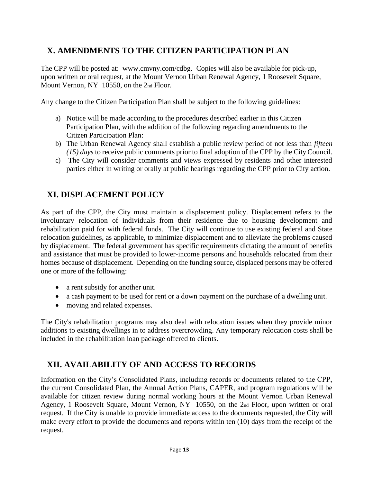## <span id="page-12-0"></span>**X. AMENDMENTS TO THE CITIZEN PARTICIPATION PLAN**

The CPP will be posted at: [www.cmvny.com/cdbg.](http://www.cmvny.com/cdbg) Copies will also be available for pick-up, upon written or oral request, at the Mount Vernon Urban Renewal Agency, 1 Roosevelt Square, Mount Vernon, NY 10550, on the 2nd Floor.

Any change to the Citizen Participation Plan shall be subject to the following guidelines:

- a) Notice will be made according to the procedures described earlier in this Citizen Participation Plan, with the addition of the following regarding amendments to the Citizen Participation Plan:
- b) The Urban Renewal Agency shall establish a public review period of not less than *fifteen (15) days* to receive public comments prior to final adoption of the CPP by the City Council.
- c) The City will consider comments and views expressed by residents and other interested parties either in writing or orally at public hearings regarding the CPP prior to City action.

### <span id="page-12-1"></span>**XI. DISPLACEMENT POLICY**

As part of the CPP, the City must maintain a displacement policy. Displacement refers to the involuntary relocation of individuals from their residence due to housing development and rehabilitation paid for with federal funds. The City will continue to use existing federal and State relocation guidelines, as applicable, to minimize displacement and to alleviate the problems caused by displacement. The federal government has specific requirements dictating the amount of benefits and assistance that must be provided to lower-income persons and households relocated from their homes because of displacement. Depending on the funding source, displaced persons may be offered one or more of the following:

- a rent subsidy for another unit.
- a cash payment to be used for rent or a down payment on the purchase of a dwelling unit.
- moving and related expenses.

The City's rehabilitation programs may also deal with relocation issues when they provide minor additions to existing dwellings in to address overcrowding. Any temporary relocation costs shall be included in the rehabilitation loan package offered to clients.

## <span id="page-12-2"></span>**XII. AVAILABILITY OF AND ACCESS TO RECORDS**

Information on the City's Consolidated Plans, including records or documents related to the CPP, the current Consolidated Plan, the Annual Action Plans, CAPER, and program regulations will be available for citizen review during normal working hours at the Mount Vernon Urban Renewal Agency, 1 Roosevelt Square, Mount Vernon, NY 10550, on the 2nd Floor, upon written or oral request. If the City is unable to provide immediate access to the documents requested, the City will make every effort to provide the documents and reports within ten (10) days from the receipt of the request.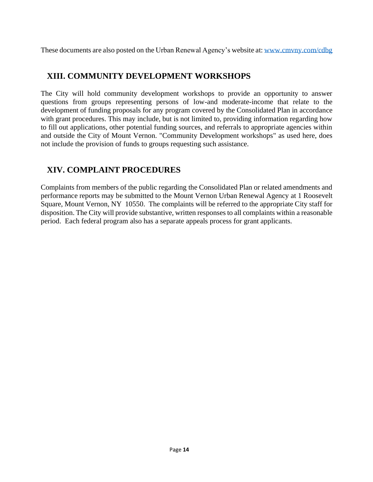These documents are also posted on the Urban Renewal Agency's website at: [www.cmvny.com/cdbg](http://www.cmvny.com/cdbg)

#### <span id="page-13-0"></span>**XIII. COMMUNITY DEVELOPMENT WORKSHOPS**

The City will hold community development workshops to provide an opportunity to answer questions from groups representing persons of low-and moderate-income that relate to the development of funding proposals for any program covered by the Consolidated Plan in accordance with grant procedures. This may include, but is not limited to, providing information regarding how to fill out applications, other potential funding sources, and referrals to appropriate agencies within and outside the City of Mount Vernon. "Community Development workshops" as used here, does not include the provision of funds to groups requesting such assistance.

### <span id="page-13-1"></span>**XIV. COMPLAINT PROCEDURES**

Complaints from members of the public regarding the Consolidated Plan or related amendments and performance reports may be submitted to the Mount Vernon Urban Renewal Agency at 1 Roosevelt Square, Mount Vernon, NY 10550. The complaints will be referred to the appropriate City staff for disposition. The City will provide substantive, written responses to all complaints within a reasonable period. Each federal program also has a separate appeals process for grant applicants.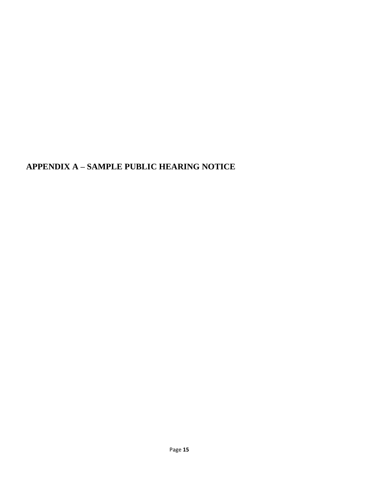## <span id="page-14-0"></span>**APPENDIX A – SAMPLE PUBLIC HEARING NOTICE**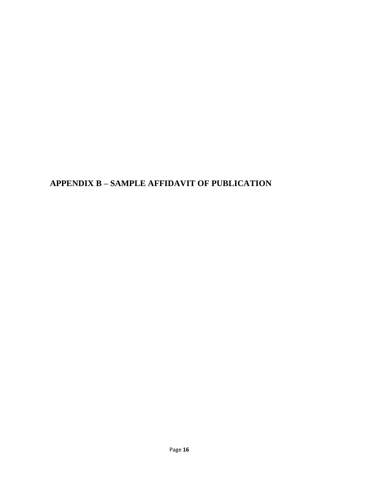## <span id="page-15-0"></span>**APPENDIX B – SAMPLE AFFIDAVIT OF PUBLICATION**